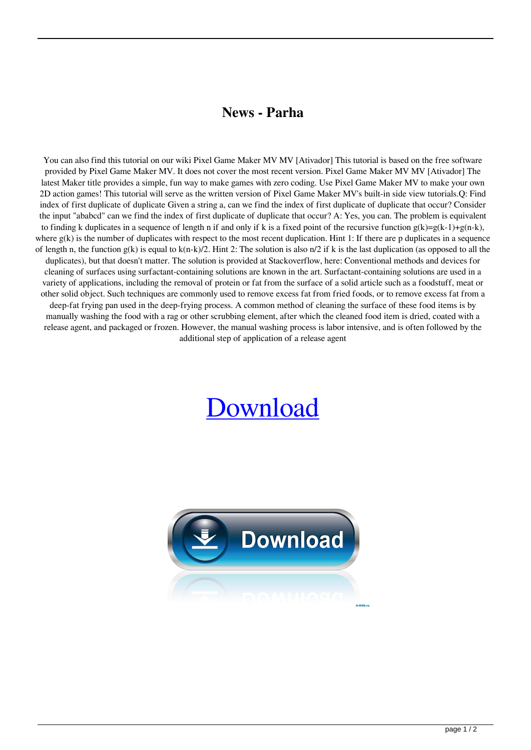## **News - Parha**

You can also find this tutorial on our wiki Pixel Game Maker MV MV [Ativador] This tutorial is based on the free software provided by Pixel Game Maker MV. It does not cover the most recent version. Pixel Game Maker MV MV [Ativador] The latest Maker title provides a simple, fun way to make games with zero coding. Use Pixel Game Maker MV to make your own 2D action games! This tutorial will serve as the written version of Pixel Game Maker MV's built-in side view tutorials.Q: Find index of first duplicate of duplicate Given a string a, can we find the index of first duplicate of duplicate that occur? Consider the input "ababcd" can we find the index of first duplicate of duplicate that occur? A: Yes, you can. The problem is equivalent to finding k duplicates in a sequence of length n if and only if k is a fixed point of the recursive function  $g(k)=g(k-1)+g(n-k)$ , where  $g(k)$  is the number of duplicates with respect to the most recent duplication. Hint 1: If there are p duplicates in a sequence of length n, the function  $g(k)$  is equal to  $k(n-k)/2$ . Hint 2: The solution is also  $n/2$  if k is the last duplication (as opposed to all the duplicates), but that doesn't matter. The solution is provided at Stackoverflow, here: Conventional methods and devices for cleaning of surfaces using surfactant-containing solutions are known in the art. Surfactant-containing solutions are used in a variety of applications, including the removal of protein or fat from the surface of a solid article such as a foodstuff, meat or other solid object. Such techniques are commonly used to remove excess fat from fried foods, or to remove excess fat from a deep-fat frying pan used in the deep-frying process. A common method of cleaning the surface of these food items is by manually washing the food with a rag or other scrubbing element, after which the cleaned food item is dried, coated with a release agent, and packaged or frozen. However, the manual washing process is labor intensive, and is often followed by the additional step of application of a release agent

## [Download](https://fancli.com/2l17kg)